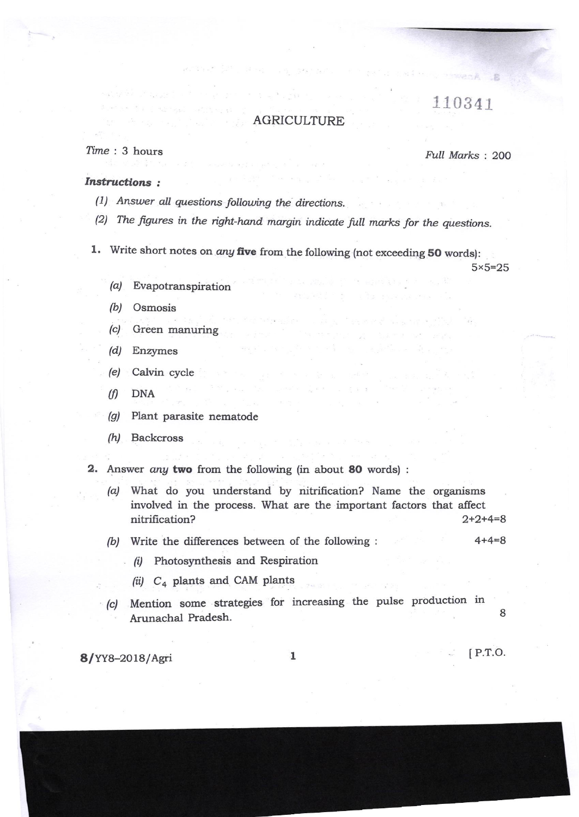## 110341

.B

## AGRICULTURE

## $Time: 3 hours$

Full Marks: 200

## **Instructions:**

- (1) Answer all questions following the directions.
- (2) The figures in the right-hand margin indicate full marks for the questions.
- 1. Write short notes on *any* five from the following (not exceeding 50 words):

 $5 \times 5 = 25$ 

- $(a)$ Evapotranspiration
- (b) Osmosis
- Green manuring  $(c)$
- (d) Enzymes
- (e) Calvin cycle
- $(f)$ **DNA**
- Plant parasite nematode  $(g)$
- $(h)$ **Backcross**
- 2. Answer any two from the following (in about 80 words):
	- (a) What do you understand by nitrification? Name the organisms involved in the process. What are the important factors that affect nitrification?  $2+2+4=8$
	- $4 + 4 = 8$ (b) Write the differences between of the following :
		- (i) Photosynthesis and Respiration
		- (ii)  $C_4$  plants and CAM plants
	- (c) Mention some strategies for increasing the pulse production in 8 Arunachal Pradesh.

8/YY8-2018/Agri

 $\mathbf{1}$ 

 $[$  P.T.O.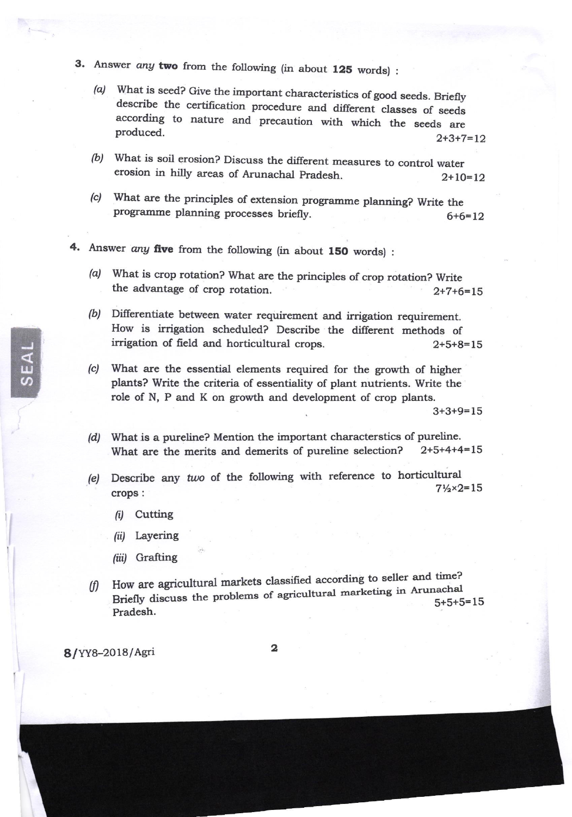- 3. Answer any two from the following (in about 125 words) :
	- (a) What is seed? Give the important characteristics of good seeds. Briefly describe the certification procedure and different classes of seeds according to nature and precaution with which the seeds are produced.  $2+3+7=$
	- (b) What is soil erosion? Discuss the different measures to control water erosion in hilly areas of Arunachal Pradesh.  $2+10=12$
	- (c) What are the principles of extension programme planning? Write the programme planning processes briefly.  $6+6=12$
- 4. Answer any five from the following (in about 150 words) :
	- (a) What is crop rotation? What are the principles of crop rotation? Write the advantage of crop rotation.  $2+7+6=15$
	- (b) Differentiate between water requirement and irrigation requirement. How is irrigation scheduled? Describe the different methods of irrigation of freld and horticultural crops. 2+5+6=15
	- (c) What are the essential elements required for the growth of higher plants? Write the criteria of essentiality of plant nutrients. Write the role of N, P and K on growth and development of crop plants.

3+3+9=15

- (d) What is a pureline? Mention the important characterstics of pureline.<br>What are the merits and demerits of pureline selection? 2+5+4+4=15 What are the merits and demerits of pureline selection?
- (e) Describe any two of the following with reference to horticultural crops : 7%x2=15
	- (i) Cutting
	- (ii) Layering
	- (iii) Grafting
- $(f)$ Pradesh. How are agricultural markets classified according to seller and time? Briefly discuss the problems of agricultural marketing in Arunachal  $5+5+5=15$

8/YY8-2018/Asri

IU  $\boldsymbol{\mathcal{G}}$ 

2